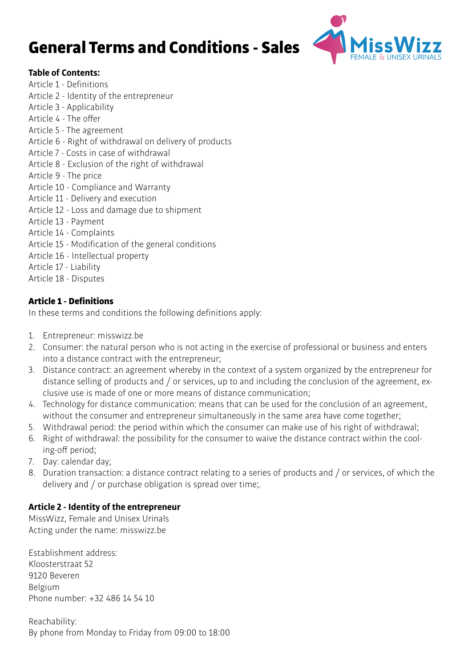# General Terms and Conditions - Sales



## **Table of Contents:**

- Article 1 Definitions
- Article 2 Identity of the entrepreneur
- Article 3 Applicability
- Article 4 The offer
- Article 5 The agreement
- Article 6 Right of withdrawal on delivery of products
- Article 7 Costs in case of withdrawal
- Article 8 Exclusion of the right of withdrawal
- Article 9 The price
- Article 10 Compliance and Warranty
- Article 11 Delivery and execution
- Article 12 Loss and damage due to shipment
- Article 13 Payment
- Article 14 Complaints
- Article 15 Modification of the general conditions
- Article 16 Intellectual property
- Article 17 Liability
- Article 18 Disputes

## Article 1 - Definitions

In these terms and conditions the following definitions apply:

- 1. Entrepreneur: misswizz.be
- 2. Consumer: the natural person who is not acting in the exercise of professional or business and enters into a distance contract with the entrepreneur;
- 3. Distance contract: an agreement whereby in the context of a system organized by the entrepreneur for distance selling of products and / or services, up to and including the conclusion of the agreement, exclusive use is made of one or more means of distance communication;
- 4. Technology for distance communication: means that can be used for the conclusion of an agreement, without the consumer and entrepreneur simultaneously in the same area have come together;
- 5. Withdrawal period: the period within which the consumer can make use of his right of withdrawal;
- 6. Right of withdrawal: the possibility for the consumer to waive the distance contract within the cooling-off period;
- 7. Day: calendar day;
- 8. Duration transaction: a distance contract relating to a series of products and / or services, of which the delivery and / or purchase obligation is spread over time;.

## **Article 2 - Identity of the entrepreneur**

MissWizz, Female and Unisex Urinals Acting under the name: misswizz.be

Establishment address: Kloosterstraat 52 9120 Beveren Belgium Phone number: +32 486 14 54 10

Reachability: By phone from Monday to Friday from 09:00 to 18:00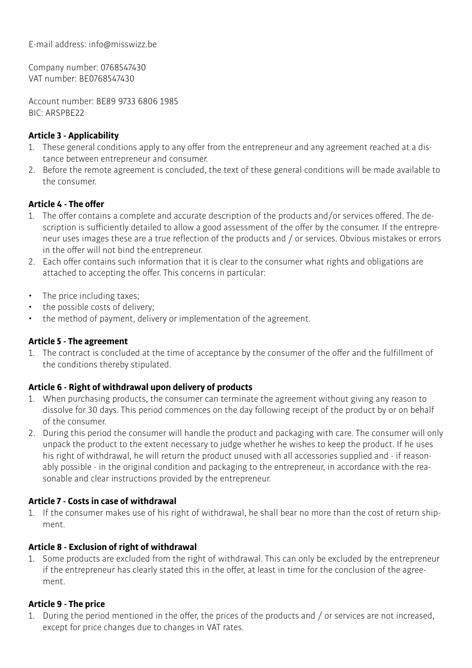E-mail address: info@misswizz.be

Company number: 0768547430 VAT number: BE0768547430

Account number: BE89 9733 6806 1985 BIC: ARSPBE22

## **Article 3 - Applicability**

- 1. These general conditions apply to any offer from the entrepreneur and any agreement reached at a distance between entrepreneur and consumer.
- 2. Before the remote agreement is concluded, the text of these general conditions will be made available to the consumer.

## **Article 4 - The offer**

- 1. The offer contains a complete and accurate description of the products and/or services offered. The description is sufficiently detailed to allow a good assessment of the offer by the consumer. If the entrepreneur uses images these are a true reflection of the products and / or services. Obvious mistakes or errors in the offer will not bind the entrepreneur.
- 2. Each offer contains such information that it is clear to the consumer what rights and obligations are attached to accepting the offer. This concerns in particular:
- The price including taxes;
- the possible costs of delivery;
- the method of payment, delivery or implementation of the agreement.

## **Article 5 - The agreement**

1. The contract is concluded at the time of acceptance by the consumer of the offer and the fulfillment of the conditions thereby stipulated.

## **Article 6 - Right of withdrawal upon delivery of products**

- 1. When purchasing products, the consumer can terminate the agreement without giving any reason to dissolve for 30 days. This period commences on the day following receipt of the product by or on behalf of the consumer.
- 2. During this period the consumer will handle the product and packaging with care. The consumer will only unpack the product to the extent necessary to judge whether he wishes to keep the product. If he uses his right of withdrawal, he will return the product unused with all accessories supplied and - if reasonably possible - in the original condition and packaging to the entrepreneur, in accordance with the reasonable and clear instructions provided by the entrepreneur.

## **Article 7 - Costs in case of withdrawal**

1. If the consumer makes use of his right of withdrawal, he shall bear no more than the cost of return shipment.

## **Article 8 - Exclusion of right of withdrawal**

1. Some products are excluded from the right of withdrawal. This can only be excluded by the entrepreneur if the entrepreneur has clearly stated this in the offer, at least in time for the conclusion of the agreement.

## **Article 9 - The price**

1. During the period mentioned in the offer, the prices of the products and / or services are not increased, except for price changes due to changes in VAT rates.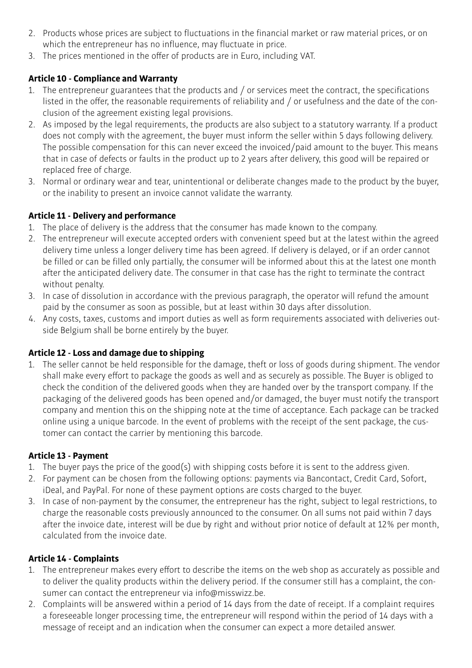- 2. Products whose prices are subject to fluctuations in the financial market or raw material prices, or on which the entrepreneur has no influence, may fluctuate in price.
- 3. The prices mentioned in the offer of products are in Euro, including VAT.

# **Article 10 - Compliance and Warranty**

- 1. The entrepreneur guarantees that the products and / or services meet the contract, the specifications listed in the offer, the reasonable requirements of reliability and / or usefulness and the date of the conclusion of the agreement existing legal provisions.
- 2. As imposed by the legal requirements, the products are also subject to a statutory warranty. If a product does not comply with the agreement, the buyer must inform the seller within 5 days following delivery. The possible compensation for this can never exceed the invoiced/paid amount to the buyer. This means that in case of defects or faults in the product up to 2 years after delivery, this good will be repaired or replaced free of charge.
- 3. Normal or ordinary wear and tear, unintentional or deliberate changes made to the product by the buyer, or the inability to present an invoice cannot validate the warranty.

## **Article 11 - Delivery and performance**

- 1. The place of delivery is the address that the consumer has made known to the company.
- 2. The entrepreneur will execute accepted orders with convenient speed but at the latest within the agreed delivery time unless a longer delivery time has been agreed. If delivery is delayed, or if an order cannot be filled or can be filled only partially, the consumer will be informed about this at the latest one month after the anticipated delivery date. The consumer in that case has the right to terminate the contract without penalty.
- 3. In case of dissolution in accordance with the previous paragraph, the operator will refund the amount paid by the consumer as soon as possible, but at least within 30 days after dissolution.
- 4. Any costs, taxes, customs and import duties as well as form requirements associated with deliveries outside Belgium shall be borne entirely by the buyer.

## **Article 12 - Loss and damage due to shipping**

1. The seller cannot be held responsible for the damage, theft or loss of goods during shipment. The vendor shall make every effort to package the goods as well and as securely as possible. The Buyer is obliged to check the condition of the delivered goods when they are handed over by the transport company. If the packaging of the delivered goods has been opened and/or damaged, the buyer must notify the transport company and mention this on the shipping note at the time of acceptance. Each package can be tracked online using a unique barcode. In the event of problems with the receipt of the sent package, the customer can contact the carrier by mentioning this barcode.

## **Article 13 - Payment**

- 1. The buyer pays the price of the good(s) with shipping costs before it is sent to the address given.
- 2. For payment can be chosen from the following options: payments via Bancontact, Credit Card, Sofort, iDeal, and PayPal. For none of these payment options are costs charged to the buyer.
- 3. In case of non-payment by the consumer, the entrepreneur has the right, subject to legal restrictions, to charge the reasonable costs previously announced to the consumer. On all sums not paid within 7 days after the invoice date, interest will be due by right and without prior notice of default at 12% per month, calculated from the invoice date.

# **Article 14 - Complaints**

- 1. The entrepreneur makes every effort to describe the items on the web shop as accurately as possible and to deliver the quality products within the delivery period. If the consumer still has a complaint, the consumer can contact the entrepreneur via info@misswizz.be.
- 2. Complaints will be answered within a period of 14 days from the date of receipt. If a complaint requires a foreseeable longer processing time, the entrepreneur will respond within the period of 14 days with a message of receipt and an indication when the consumer can expect a more detailed answer.